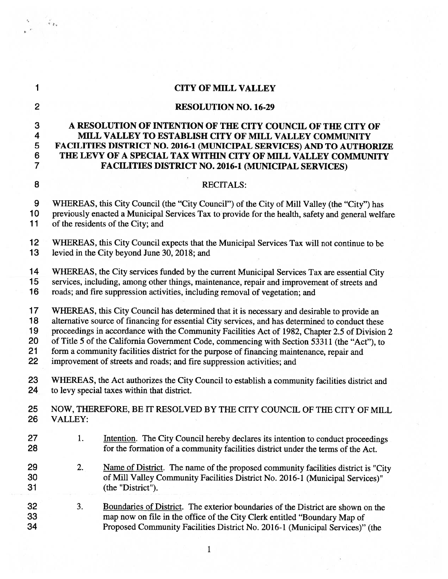| 1                                  |                                                                                                                                                                                                                                                                                                                                                                                                                                                                                                                                                                        | <b>CITY OF MILL VALLEY</b>                                                                                                                                                                                                                                                                                                     |
|------------------------------------|------------------------------------------------------------------------------------------------------------------------------------------------------------------------------------------------------------------------------------------------------------------------------------------------------------------------------------------------------------------------------------------------------------------------------------------------------------------------------------------------------------------------------------------------------------------------|--------------------------------------------------------------------------------------------------------------------------------------------------------------------------------------------------------------------------------------------------------------------------------------------------------------------------------|
| $\overline{2}$                     |                                                                                                                                                                                                                                                                                                                                                                                                                                                                                                                                                                        | <b>RESOLUTION NO. 16-29</b>                                                                                                                                                                                                                                                                                                    |
| 3<br>4<br>5<br>6<br>$\overline{7}$ |                                                                                                                                                                                                                                                                                                                                                                                                                                                                                                                                                                        | A RESOLUTION OF INTENTION OF THE CITY COUNCIL OF THE CITY OF<br>MILL VALLEY TO ESTABLISH CITY OF MILL VALLEY COMMUNITY<br>FACILITIES DISTRICT NO. 2016-1 (MUNICIPAL SERVICES) AND TO AUTHORIZE<br>THE LEVY OF A SPECIAL TAX WITHIN CITY OF MILL VALLEY COMMUNITY<br><b>FACILITIES DISTRICT NO. 2016-1 (MUNICIPAL SERVICES)</b> |
| 8                                  |                                                                                                                                                                                                                                                                                                                                                                                                                                                                                                                                                                        | <b>RECITALS:</b>                                                                                                                                                                                                                                                                                                               |
| $\boldsymbol{9}$<br>10<br>11       | WHEREAS, this City Council (the "City Council") of the City of Mill Valley (the "City") has<br>previously enacted a Municipal Services Tax to provide for the health, safety and general welfare<br>of the residents of the City; and                                                                                                                                                                                                                                                                                                                                  |                                                                                                                                                                                                                                                                                                                                |
| 12<br>13                           |                                                                                                                                                                                                                                                                                                                                                                                                                                                                                                                                                                        | WHEREAS, this City Council expects that the Municipal Services Tax will not continue to be<br>levied in the City beyond June 30, 2018; and                                                                                                                                                                                     |
| 14<br>15<br>16                     | WHEREAS, the City services funded by the current Municipal Services Tax are essential City<br>services, including, among other things, maintenance, repair and improvement of streets and<br>roads; and fire suppression activities, including removal of vegetation; and                                                                                                                                                                                                                                                                                              |                                                                                                                                                                                                                                                                                                                                |
| 17<br>18<br>19<br>20<br>21<br>22   | WHEREAS, this City Council has determined that it is necessary and desirable to provide an<br>alternative source of financing for essential City services, and has determined to conduct these<br>proceedings in accordance with the Community Facilities Act of 1982, Chapter 2.5 of Division 2<br>of Title 5 of the California Government Code, commencing with Section 53311 (the "Act"), to<br>form a community facilities district for the purpose of financing maintenance, repair and<br>improvement of streets and roads; and fire suppression activities; and |                                                                                                                                                                                                                                                                                                                                |
| 23<br>24                           | WHEREAS, the Act authorizes the City Council to establish a community facilities district and<br>to levy special taxes within that district.                                                                                                                                                                                                                                                                                                                                                                                                                           |                                                                                                                                                                                                                                                                                                                                |
| 25<br>26                           | NOW, THEREFORE, BE IT RESOLVED BY THE CITY COUNCIL OF THE CITY OF MILL<br><b>VALLEY:</b>                                                                                                                                                                                                                                                                                                                                                                                                                                                                               |                                                                                                                                                                                                                                                                                                                                |
| 27<br>28                           | 1.                                                                                                                                                                                                                                                                                                                                                                                                                                                                                                                                                                     | Intention. The City Council hereby declares its intention to conduct proceedings<br>for the formation of a community facilities district under the terms of the Act.                                                                                                                                                           |
| 29<br>30<br>31                     | 2.                                                                                                                                                                                                                                                                                                                                                                                                                                                                                                                                                                     | Name of District. The name of the proposed community facilities district is "City<br>of Mill Valley Community Facilities District No. 2016-1 (Municipal Services)"<br>(the "District").                                                                                                                                        |
| 32<br>33<br>34                     | 3.                                                                                                                                                                                                                                                                                                                                                                                                                                                                                                                                                                     | Boundaries of District. The exterior boundaries of the District are shown on the<br>map now on file in the office of the City Clerk entitled "Boundary Map of<br>Proposed Community Facilities District No. 2016-1 (Municipal Services)" (the                                                                                  |

·

 $\mathbf{r}$ 

# 1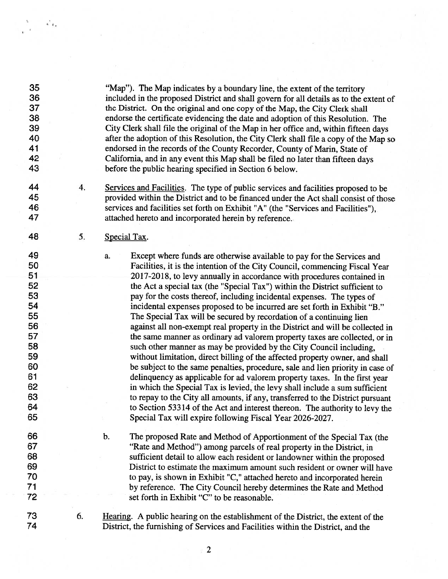| 35<br>36<br>37<br>38<br>39<br>40<br>41<br>42<br>43                                     |    | "Map"). The Map indicates by a boundary line, the extent of the territory<br>included in the proposed District and shall govern for all details as to the extent of<br>the District. On the original and one copy of the Map, the City Clerk shall<br>endorse the certificate evidencing the date and adoption of this Resolution. The<br>City Clerk shall file the original of the Map in her office and, within fifteen days<br>after the adoption of this Resolution, the City Clerk shall file a copy of the Map so<br>endorsed in the records of the County Recorder, County of Marin, State of<br>California, and in any event this Map shall be filed no later than fifteen days<br>before the public hearing specified in Section 6 below.                                                                                                                                                                                                                                                                                                                                                                                                                                    |  |  |
|----------------------------------------------------------------------------------------|----|---------------------------------------------------------------------------------------------------------------------------------------------------------------------------------------------------------------------------------------------------------------------------------------------------------------------------------------------------------------------------------------------------------------------------------------------------------------------------------------------------------------------------------------------------------------------------------------------------------------------------------------------------------------------------------------------------------------------------------------------------------------------------------------------------------------------------------------------------------------------------------------------------------------------------------------------------------------------------------------------------------------------------------------------------------------------------------------------------------------------------------------------------------------------------------------|--|--|
| 44<br>45<br>46<br>47                                                                   | 4. | Services and Facilities. The type of public services and facilities proposed to be<br>provided within the District and to be financed under the Act shall consist of those<br>services and facilities set forth on Exhibit "A" (the "Services and Facilities"),<br>attached hereto and incorporated herein by reference.                                                                                                                                                                                                                                                                                                                                                                                                                                                                                                                                                                                                                                                                                                                                                                                                                                                              |  |  |
| 48                                                                                     | 5. | Special Tax.                                                                                                                                                                                                                                                                                                                                                                                                                                                                                                                                                                                                                                                                                                                                                                                                                                                                                                                                                                                                                                                                                                                                                                          |  |  |
| 49<br>50                                                                               |    | Except where funds are otherwise available to pay for the Services and<br>a.<br>Facilities, it is the intention of the City Council, commencing Fiscal Year                                                                                                                                                                                                                                                                                                                                                                                                                                                                                                                                                                                                                                                                                                                                                                                                                                                                                                                                                                                                                           |  |  |
| 51<br>52<br>53<br>54<br>55<br>56<br>57<br>58<br>59<br>60<br>61<br>62<br>63<br>64<br>65 |    | 2017-2018, to levy annually in accordance with procedures contained in<br>the Act a special tax (the "Special Tax") within the District sufficient to<br>pay for the costs thereof, including incidental expenses. The types of<br>incidental expenses proposed to be incurred are set forth in Exhibit "B."<br>The Special Tax will be secured by recordation of a continuing lien<br>against all non-exempt real property in the District and will be collected in<br>the same manner as ordinary ad valorem property taxes are collected, or in<br>such other manner as may be provided by the City Council including,<br>without limitation, direct billing of the affected property owner, and shall<br>be subject to the same penalties, procedure, sale and lien priority in case of<br>delinquency as applicable for ad valorem property taxes. In the first year<br>in which the Special Tax is levied, the levy shall include a sum sufficient<br>to repay to the City all amounts, if any, transferred to the District pursuant<br>to Section 53314 of the Act and interest thereon. The authority to levy the<br>Special Tax will expire following Fiscal Year 2026-2027. |  |  |
| 66<br>67<br>68<br>69<br>70<br>71<br>72                                                 |    | The proposed Rate and Method of Apportionment of the Special Tax (the<br>b.<br>"Rate and Method") among parcels of real property in the District, in<br>sufficient detail to allow each resident or landowner within the proposed<br>District to estimate the maximum amount such resident or owner will have<br>to pay, is shown in Exhibit "C," attached hereto and incorporated herein<br>by reference. The City Council hereby determines the Rate and Method<br>set forth in Exhibit "C" to be reasonable.                                                                                                                                                                                                                                                                                                                                                                                                                                                                                                                                                                                                                                                                       |  |  |
| 73<br>74                                                                               | 6. | Hearing. A public hearing on the establishment of the District, the extent of the<br>District, the furnishing of Services and Facilities within the District, and the                                                                                                                                                                                                                                                                                                                                                                                                                                                                                                                                                                                                                                                                                                                                                                                                                                                                                                                                                                                                                 |  |  |

 $\ddot{\phantom{0}}$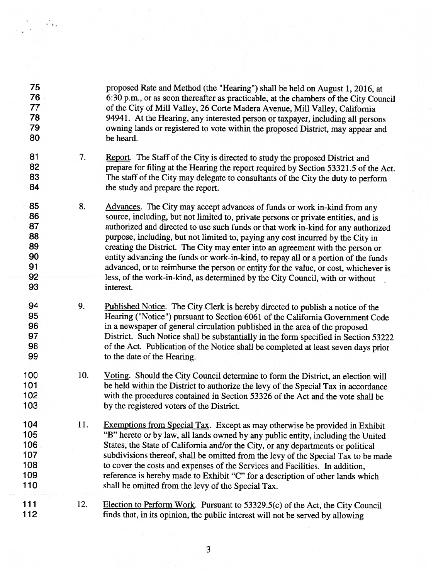| 75<br>76<br>77<br>78<br>79<br>80                   |     | proposed Rate and Method (the "Hearing") shall be held on August 1, 2016, at<br>6:30 p.m., or as soon thereafter as practicable, at the chambers of the City Council<br>of the City of Mill Valley, 26 Corte Madera Avenue, Mill Valley, California<br>94941. At the Hearing, any interested person or taxpayer, including all persons<br>owning lands or registered to vote within the proposed District, may appear and<br>be heard.                                                                                                                                                                                                                                                              |
|----------------------------------------------------|-----|-----------------------------------------------------------------------------------------------------------------------------------------------------------------------------------------------------------------------------------------------------------------------------------------------------------------------------------------------------------------------------------------------------------------------------------------------------------------------------------------------------------------------------------------------------------------------------------------------------------------------------------------------------------------------------------------------------|
| 81<br>82<br>83<br>84                               | 7.  | Report. The Staff of the City is directed to study the proposed District and<br>prepare for filing at the Hearing the report required by Section 53321.5 of the Act.<br>The staff of the City may delegate to consultants of the City the duty to perform<br>the study and prepare the report.                                                                                                                                                                                                                                                                                                                                                                                                      |
| 85<br>86<br>87<br>88<br>89<br>90<br>91<br>92<br>93 | 8.  | Advances. The City may accept advances of funds or work in-kind from any<br>source, including, but not limited to, private persons or private entities, and is<br>authorized and directed to use such funds or that work in-kind for any authorized<br>purpose, including, but not limited to, paying any cost incurred by the City in<br>creating the District. The City may enter into an agreement with the person or<br>entity advancing the funds or work-in-kind, to repay all or a portion of the funds<br>advanced, or to reimburse the person or entity for the value, or cost, whichever is<br>less, of the work-in-kind, as determined by the City Council, with or without<br>interest. |
| 94<br>95<br>96<br>97<br>98<br>99                   | 9.  | Published Notice. The City Clerk is hereby directed to publish a notice of the<br>Hearing ("Notice") pursuant to Section 6061 of the California Government Code<br>in a newspaper of general circulation published in the area of the proposed<br>District. Such Notice shall be substantially in the form specified in Section 53222<br>of the Act. Publication of the Notice shall be completed at least seven days prior<br>to the date of the Hearing.                                                                                                                                                                                                                                          |
| 100<br>101<br>102<br>103                           | 10. | Voting. Should the City Council determine to form the District, an election will<br>be held within the District to authorize the levy of the Special Tax in accordance<br>with the procedures contained in Section 53326 of the Act and the vote shall be<br>by the registered voters of the District.                                                                                                                                                                                                                                                                                                                                                                                              |
| 104<br>105<br>106<br>107<br>108<br>109<br>110      | 11. | Exemptions from Special Tax. Except as may otherwise be provided in Exhibit<br>"B" hereto or by law, all lands owned by any public entity, including the United<br>States, the State of California and/or the City, or any departments or political<br>subdivisions thereof, shall be omitted from the levy of the Special Tax to be made<br>to cover the costs and expenses of the Services and Facilities. In addition,<br>reference is hereby made to Exhibit "C" for a description of other lands which<br>shall be omitted from the levy of the Special Tax.                                                                                                                                   |
| 111<br>112                                         | 12. | Election to Perform Work. Pursuant to 53329.5(c) of the Act, the City Council<br>finds that, in its opinion, the public interest will not be served by allowing                                                                                                                                                                                                                                                                                                                                                                                                                                                                                                                                     |

.'.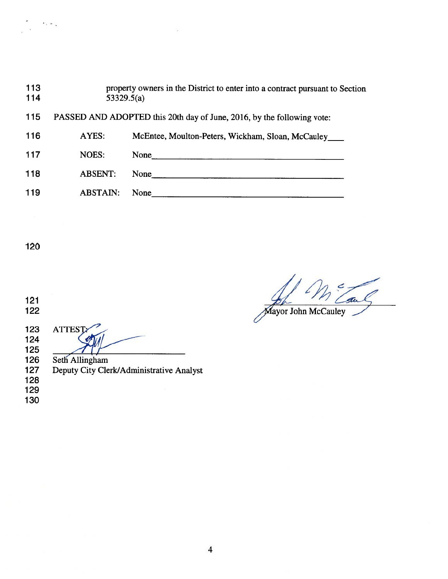| 113<br>114 | 53329.5(a)      | property owners in the District to enter into a contract pursuant to Section |
|------------|-----------------|------------------------------------------------------------------------------|
| 115        |                 | PASSED AND ADOPTED this 20th day of June, 2016, by the following vote:       |
| 116        | AYES:           | McEntee, Moulton-Peters, Wickham, Sloan, McCauley                            |
| 117        | <b>NOES:</b>    | None                                                                         |
| 118        | <b>ABSENT:</b>  | None                                                                         |
| 119        | <b>ABSTAIN:</b> | None                                                                         |
|            |                 |                                                                              |

V)

' ..

 

**ATTEST:** Í 

126 Seth Allingham<br>127 Deputy City Cle Deputy City Clerk/Administrative Analyst

 

aul Mayor John McCauley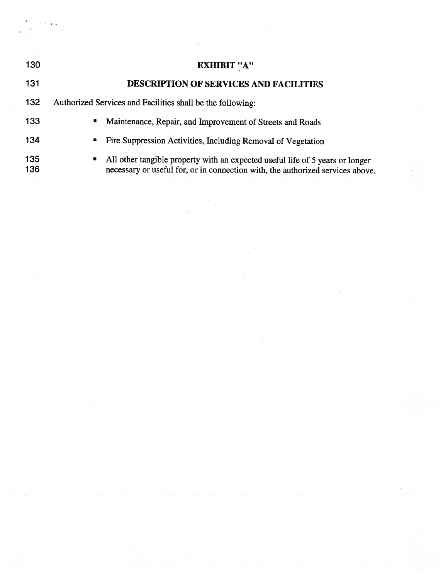| 130        | <b>EXHIBIT "A"</b>                                                                                                                                                               |
|------------|----------------------------------------------------------------------------------------------------------------------------------------------------------------------------------|
| 131        | <b>DESCRIPTION OF SERVICES AND FACILITIES</b>                                                                                                                                    |
| 132        | Authorized Services and Facilities shall be the following:                                                                                                                       |
| 133        | Maintenance, Repair, and Improvement of Streets and Roads<br>٠                                                                                                                   |
| 134        | Fire Suppression Activities, Including Removal of Vegetation<br>٠                                                                                                                |
| 135<br>136 | All other tangible property with an expected useful life of 5 years or longer<br>$\blacksquare$<br>necessary or useful for, or in connection with, the authorized services above |

'.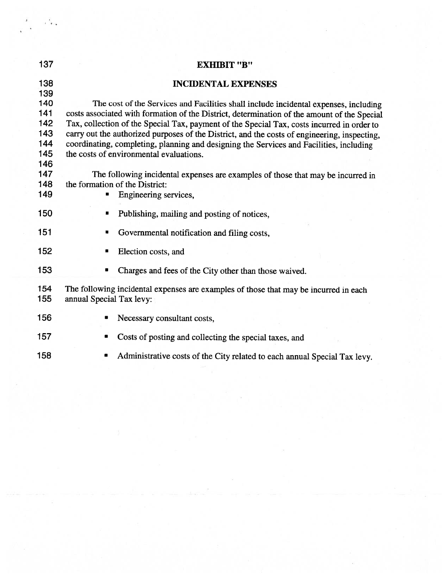| 137                                    | <b>EXHIBIT "B"</b>                                                                                                                                                                                                                                                                                                                                                                                                                                                                                                      |
|----------------------------------------|-------------------------------------------------------------------------------------------------------------------------------------------------------------------------------------------------------------------------------------------------------------------------------------------------------------------------------------------------------------------------------------------------------------------------------------------------------------------------------------------------------------------------|
| 138<br>139                             | <b>INCIDENTAL EXPENSES</b>                                                                                                                                                                                                                                                                                                                                                                                                                                                                                              |
| 140<br>141<br>142<br>143<br>144<br>145 | The cost of the Services and Facilities shall include incidental expenses, including<br>costs associated with formation of the District, determination of the amount of the Special<br>Tax, collection of the Special Tax, payment of the Special Tax, costs incurred in order to<br>carry out the authorized purposes of the District, and the costs of engineering, inspecting,<br>coordinating, completing, planning and designing the Services and Facilities, including<br>the costs of environmental evaluations. |
| 146<br>147<br>148<br>149               | The following incidental expenses are examples of those that may be incurred in<br>the formation of the District:<br>Engineering services,<br>۰                                                                                                                                                                                                                                                                                                                                                                         |
| 150                                    | Publishing, mailing and posting of notices,                                                                                                                                                                                                                                                                                                                                                                                                                                                                             |
| 151                                    | Governmental notification and filing costs,<br>п                                                                                                                                                                                                                                                                                                                                                                                                                                                                        |
| 152                                    | Election costs, and<br>в                                                                                                                                                                                                                                                                                                                                                                                                                                                                                                |
| 153                                    | Charges and fees of the City other than those waived.<br>$\blacksquare$                                                                                                                                                                                                                                                                                                                                                                                                                                                 |
| 154<br>155                             | The following incidental expenses are examples of those that may be incurred in each<br>annual Special Tax levy:                                                                                                                                                                                                                                                                                                                                                                                                        |
| 156                                    | Necessary consultant costs,<br>$\blacksquare$                                                                                                                                                                                                                                                                                                                                                                                                                                                                           |
| 157                                    | Costs of posting and collecting the special taxes, and                                                                                                                                                                                                                                                                                                                                                                                                                                                                  |
| 158                                    | Administrative costs of the City related to each annual Special Tax levy.                                                                                                                                                                                                                                                                                                                                                                                                                                               |

'.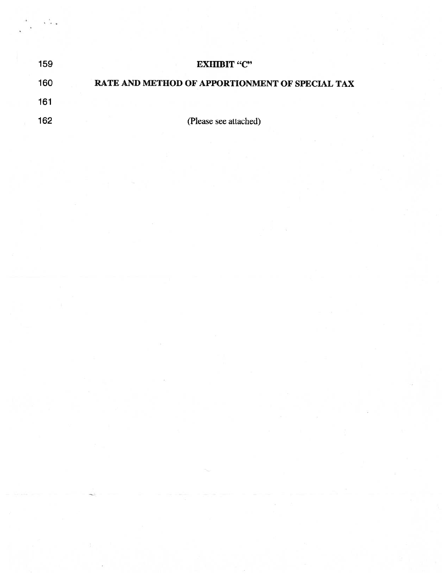| 159 | <b>EXHIBIT "C"</b>                              |
|-----|-------------------------------------------------|
| 160 | RATE AND METHOD OF APPORTIONMENT OF SPECIAL TAX |
| 161 |                                                 |
| 162 | (Please see attached)                           |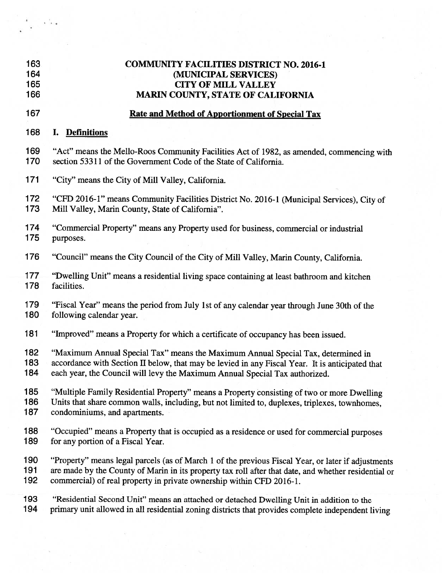| 163 | <b>COMMUNITY FA</b> |
|-----|---------------------|
| 164 | (MUN                |

#### **CILITIES DISTRICT NO. 2016-1 IICIPAL SERVICES)** 165 CITY OF MILL VALLEY 166 MARIN COUNTY, STATE OF CALIFORNIA

## 167 Rate and Method of Apportionment of Special Tax

## 168 I. Definitions

169 "Act" means the Mello-Roos Community Facilities Act of 1982, as amended, commencing with<br>170 section 53311 of the Government Code of the State of California. section 53311 of the Government Code of the State of California.

171 "City" means the City of Mill Valley, California.

172 "CFD 2016-1" means Community Facilities District No. 2016-1 (Municipal Services), City of 173 Mill Valley, Marin County, State of California".

174 "Commercial Property" means any Property used for business, commercial or industrial 175 purposes. purposes.

176 "Council" means the City Council of the City of Mill Valley, Marin County, California.

177 "Dwelling Unit" means a residential living space containing at least bathroom and kitchen<br>178 facilities. facilities.

179 "Fiscal Year" means the period from July 1st of any calendar year through June 30th of the 180 following calendar year.

181 "Improved" means <sup>a</sup> Property for which <sup>a</sup> certificate of occupancy has been issued.

182 "Maximum Annual Special Tax" means the Maximum Annual Special Tax, determined in 183 accordance with Section II below, that may be levied in any Fiscal Year. It is anticipated the

accordance with Section II below, that may be levied in any Fiscal Year. It is anticipated that

184 each year, the Council will levy the Maximum Annual Special Tax authorized.

185 "Multiple Family Residential Property" means <sup>a</sup> Property consisting of two or more Dwelling 186 Units that share common walls, including, but not limited to, duplexes, triplexes, townhomes, 187 condominiums, and apartments.

188 "Occupied" means <sup>a</sup> Property that is occupied as <sup>a</sup> residence or used for commercial purposes 189 for any portion of a Fiscal Year.

190 "Property" means legal parcels (as of March 1 of the previous Fiscal Year, or later if adjustments 191 are made by the County of Marin in its property tax roll after that date, and whether residential or 192 commercial) of real property in private ownership within CFD 2016-1.

193 "Residential Second Unit" means an attached or detached Dwelling Unit in addition to the 194 primary unit allowed in all residential zoning districts that provides complete independent living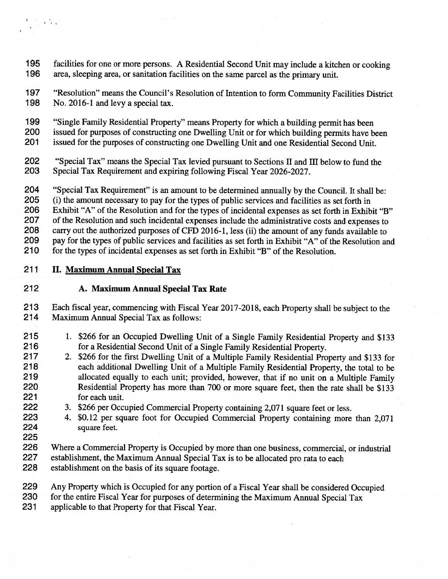195 facilities for one or more persons. A Residential Second Unit may include a kitchen or cooking<br>196 area, sleeping area, or sanitation facilities on the same parcel as the primary unit area, sleeping area, or sanitation facilities on the same parcel as the primary unit.

197 "Resolution" means the Council's Resolution of Intention to form Community Facilities District<br>198 No. 2016-1 and levy a special tax. No. 2016-1 and levy a special tax.

- 199 "Single Family Residential Property" means Property for which a building permit has been<br>200 issued for purposes of constructing one Dwelling Unit or for which building permits have b
- 200 issued for purposes of constructing one Dwelling Unit or for which building permits have been<br>201 issued for the purposes of constructing one Dwelling Unit and one Residential Second Unit
- issued for the purposes of constructing one Dwelling Unit and one Residential Second Unit.
- 202 "Special Tax" means the Special Tax levied pursuant to Sections II and III below to fund the 203 Special Tax Requirement and expiring following Fiscal Year 2026-2027 203 Special Tax Requirement and expiring following Fiscal Year 2026-2027.
- 204 "Special Tax Requirement" is an amount to be determined annually by the Council. It shall be:<br>205 (i) the amount necessary to pay for the types of public services and facilities as set forth in
- 205 (i) the amount necessary to pay for the types of public services and facilities as set forth in 206 Exhibit "A" of the Resolution and for the types of incidental expenses as set forth in Exhibit
- Exhibit "A" of the Resolution and for the types of incidental expenses as set forth in Exhibit "B"
- 207 of the Resolution and such incidental expenses include the administrative costs and expenses to<br>208 carry out the authorized purposes of CFD 2016-1, less (ii) the amount of any funds available to
- 208 carry out the authorized purposes of CFD 2016-1, less (ii) the amount of any funds available to<br>209 pay for the types of public services and facilities as set forth in Exhibit "A" of the Resolution at
- 209 pay for the types of public services and facilities as set forth in Exhibit "A" of the Resolution and 210 for the types of incidental expenses as set forth in Exhibit "B" of the Resolution
- for the types of incidental expenses as set forth in Exhibit "B" of the Resolution.

## 211 II. Maximum Annual Special Tax

- 212 A. Maximum Annual Special Tax Rate
- 213 Each fiscal year, commencing with Fiscal Year 2017-2018, each Property shall be subject to the 214 Maximum Annual Special Tax as follows:
- 215 1. \$266 for an Occupied Dwelling Unit of a Single Family Residential Property and \$133<br>216 for a Residential Second Unit of a Single Family Residential Property. 216 for <sup>a</sup> Residential Second Unit of <sup>a</sup> Single Family Residential Property.
- 217 2. \$266 for the first Dwelling Unit of a Multiple Family Residential Property and \$133 for 218 each additional Dwelling Unit of <sup>a</sup> Multiple Family Residential Property, the total to be 219 allocated equally to each unit; provided, however, that if no unit on <sup>a</sup> Multiple Family 220 Residential Property has more than 700 or more square feet, then the rate shall be \$133 221 for each unit.
- 222 3. \$266 per Occupied Commercial Property containing 2,071 square feet or less.
- 223 4. \$0.12 per square foot for Occupied Commercial Property containing more than 2,071 224 square feet.
- 225

· '.

- 226 Where <sup>a</sup> Commercial Property is Occupied by more than one business, commercial, or industrial
- 227 establishment, the Maximum Annual Special Tax is to be allocated pro rata to each
- 228 establishment on the basis of its square footage.

229 Any Property which is Occupied for any portion of <sup>a</sup> Fiscal Year shall be considered Occupied 230 for the entire Fiscal Year for purposes of determining the Maximum Annual Special Tax

231 applicable to that Property for that Fiscal Year.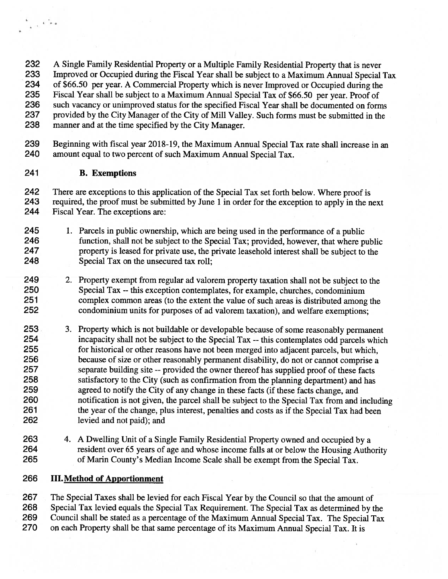232 A Single Family Residential Property or a Multiple Family Residential Property that is never<br>233 Improved or Occupied during the Fiscal Year shall be subject to a Maximum Annual Special Improved or Occupied during the Fiscal Year shall be subject to a Maximum Annual Special Tax 234 of \$66.50 per year. A Commercial Property which is never Improved or Occupied during the<br>235 Fiscal Year shall be subject to a Maximum Annual Special Tax of \$66.50 per year. Proof of 235 Fiscal Year shall be subject to a Maximum Annual Special Tax of \$66.50 per year. Proof of 236 such vacancy or unimproved status for the specified Fiscal Year shall be documented on form 236 such vacancy or unimproved status for the specified Fiscal Year shall be documented on forms<br>237 provided by the City Manager of the City of Mill Valley. Such forms must be submitted in the provided by the City Manager of the City of Mill Valley. Such forms must be submitted in the manner and at the time specified by the City Manager.

239 Beginning with fiscal year 2018-19, the Maximum Annual Special Tax rate shall increase in an 240 amount equal to two percent of such Maximum Annual Special Tax. amount equal to two percent of such Maximum Annual Special Tax.

## B. Exemptions

, '.

242 There are exceptions to this application of the Special Tax set forth below. Where proof is<br>243 required, the proof must be submitted by June 1 in order for the exception to apply in the n 243 required, the proof must be submitted by June 1 in order for the exception to apply in the next<br>244 Fiscal Year. The exceptions are:

Fiscal Year. The exceptions are:

- 1. Parcels in public ownership, which are being used in the performance of <sup>a</sup> public function, shall not be subject to the Special Tax; provided, however, that where public property is leased for private use, the private leasehold interest shall be subject to the Special Tax on the unsecured tax roll;
- 249 2. Property exempt from regular ad valorem property taxation shall not be subject to the 250 Special Tax -- this exception contemplates, for example, churches, condominium Special Tax -- this exception contemplates, for example, churches, condominium 251 complex common areas (to the extent the value of such areas is distributed among the condominium units for purposes of ad valorem taxation), and welfare exemptions: condominium units for purposes of ad valorem taxation), and welfare exemptions;
- 3. Property which is not buildable or developable because of some reasonably permanen<sup>t</sup> incapacity shall not be subject to the Special Tax -- this contemplates odd parcels which for historical or other reasons have not been merged into adjacent parcels, but which, because of size or other reasonably permanen<sup>t</sup> disability, do not or cannot comprise <sup>a</sup> separate building site -- provided the owner thereof has supplied proof of these facts satisfactory to the City (such as confirmation from the planning department) and has agreed to notify the City of any change in these facts (if these facts change, and notification is not given, the parcel shall be subject to the Special Tax from and including the year of the change, plus interest, penalties and costs as if the Special Tax had been levied and not paid); and
- 4. A Dwelling Unit of <sup>a</sup> Single Family Residential Property owned and occupied by <sup>a</sup> resident over 65 years of age and whose income falls at or below the Housing Authority of Marin County's Median Income Scale shall be exemp<sup>t</sup> from the Special Tax.

## **III. Method of Apportionment**

 The Special Taxes shall be levied for each Fiscal Year by the Council so that the amount of Special Tax levied equals the Special Tax Requirement. The Special Tax as determined by the Council shall be stated as <sup>a</sup> percentage of the Maximum Annual Special Tax. The Special Tax on each Property shall be that same percentage of its Maximum Annual Special Tax. It is